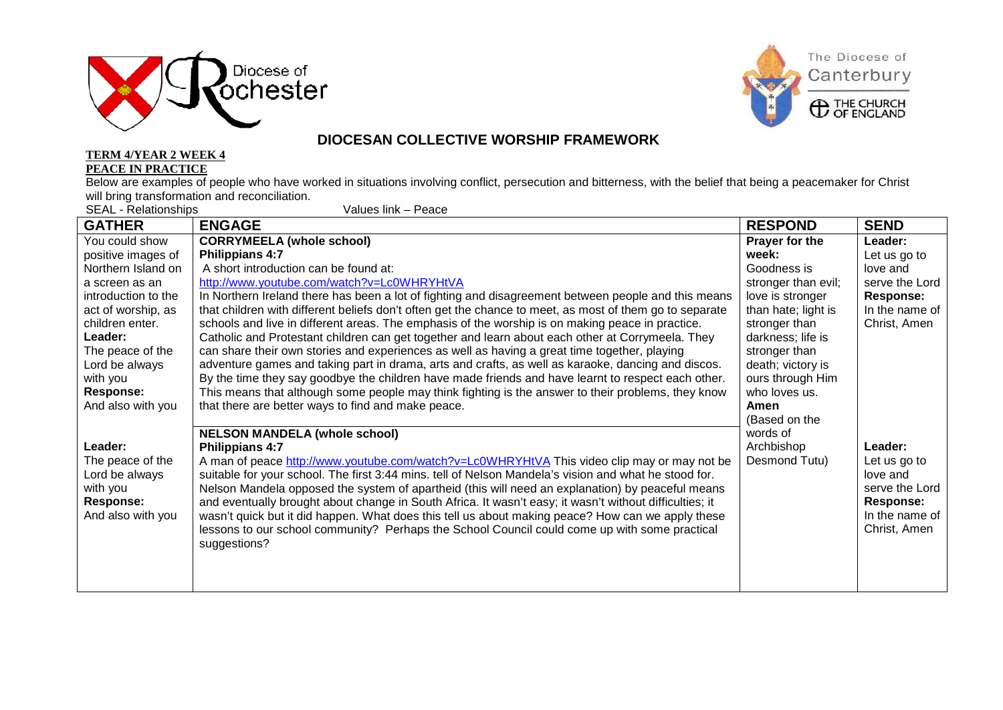



## **DIOCESAN COLLECTIVE WORSHIP FRAMEWORK**

### **TERM 4/YEAR 2 WEEK 4 PEACE IN PRACTICE**

Below are examples of people who have worked in situations involving conflict, persecution and bitterness, with the belief that being a peacemaker for Christ will bring transformation and reconciliation.

SEAL - Relationships Values link – Peace

| <b>GATHER</b>       | <b>ENGAGE</b>                                                                                           | <b>RESPOND</b>      | <b>SEND</b>      |
|---------------------|---------------------------------------------------------------------------------------------------------|---------------------|------------------|
| You could show      | <b>CORRYMEELA (whole school)</b>                                                                        | Prayer for the      | Leader:          |
| positive images of  | Philippians 4:7                                                                                         | week:               | Let us go to     |
| Northern Island on  | A short introduction can be found at:                                                                   | Goodness is         | love and         |
| a screen as an      | http://www.youtube.com/watch?v=Lc0WHRYHtVA                                                              | stronger than evil; | serve the Lord   |
| introduction to the | In Northern Ireland there has been a lot of fighting and disagreement between people and this means     | love is stronger    | <b>Response:</b> |
| act of worship, as  | that children with different beliefs don't often get the chance to meet, as most of them go to separate | than hate; light is | In the name of   |
| children enter.     | schools and live in different areas. The emphasis of the worship is on making peace in practice.        | stronger than       | Christ, Amen     |
| Leader:             | Catholic and Protestant children can get together and learn about each other at Corrymeela. They        | darkness; life is   |                  |
| The peace of the    | can share their own stories and experiences as well as having a great time together, playing            | stronger than       |                  |
| Lord be always      | adventure games and taking part in drama, arts and crafts, as well as karaoke, dancing and discos.      | death; victory is   |                  |
| with you            | By the time they say goodbye the children have made friends and have learnt to respect each other.      | ours through Him    |                  |
| <b>Response:</b>    | This means that although some people may think fighting is the answer to their problems, they know      | who loves us.       |                  |
| And also with you   | that there are better ways to find and make peace.                                                      | Amen                |                  |
|                     |                                                                                                         | (Based on the       |                  |
|                     | <b>NELSON MANDELA (whole school)</b>                                                                    | words of            |                  |
| Leader:             | Philippians 4:7                                                                                         | Archbishop          | Leader:          |
| The peace of the    | A man of peace http://www.youtube.com/watch?v=Lc0WHRYHtVA This video clip may or may not be             | Desmond Tutu)       | Let us go to     |
| Lord be always      | suitable for your school. The first 3:44 mins. tell of Nelson Mandela's vision and what he stood for.   |                     | love and         |
| with you            | Nelson Mandela opposed the system of apartheid (this will need an explanation) by peaceful means        |                     | serve the Lord   |
| <b>Response:</b>    | and eventually brought about change in South Africa. It wasn't easy; it wasn't without difficulties; it |                     | <b>Response:</b> |
| And also with you   | wasn't quick but it did happen. What does this tell us about making peace? How can we apply these       |                     | In the name of   |
|                     | lessons to our school community? Perhaps the School Council could come up with some practical           |                     | Christ, Amen     |
|                     | suggestions?                                                                                            |                     |                  |
|                     |                                                                                                         |                     |                  |
|                     |                                                                                                         |                     |                  |
|                     |                                                                                                         |                     |                  |